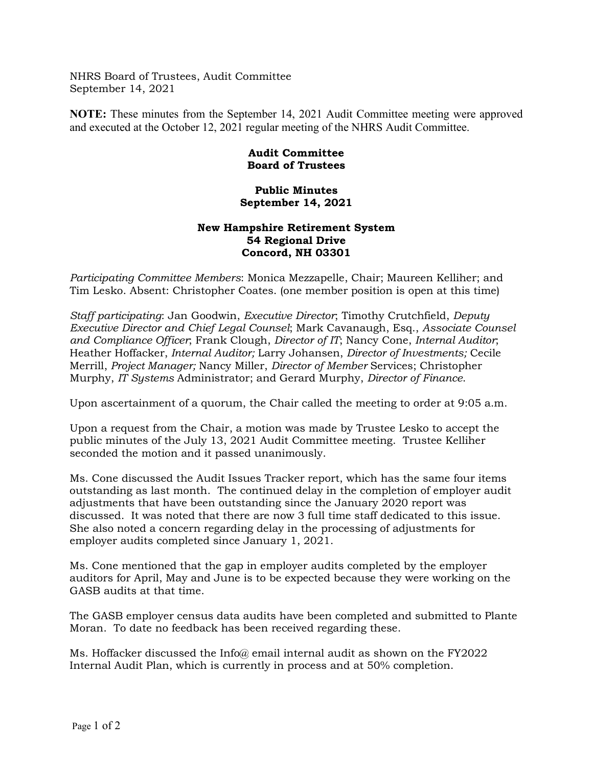NHRS Board of Trustees, Audit Committee September 14, 2021

**NOTE:** These minutes from the September 14, 2021 Audit Committee meeting were approved and executed at the October 12, 2021 regular meeting of the NHRS Audit Committee.

## **Audit Committee Board of Trustees**

**Public Minutes September 14, 2021**

## **New Hampshire Retirement System 54 Regional Drive Concord, NH 03301**

*Participating Committee Members*: Monica Mezzapelle, Chair; Maureen Kelliher; and Tim Lesko. Absent: Christopher Coates. (one member position is open at this time)

*Staff participating*: Jan Goodwin, *Executive Director*; Timothy Crutchfield, *Deputy Executive Director and Chief Legal Counsel*; Mark Cavanaugh, Esq., *Associate Counsel and Compliance Officer*; Frank Clough, *Director of IT*; Nancy Cone, *Internal Auditor*; Heather Hoffacker, *Internal Auditor;* Larry Johansen, *Director of Investments;* Cecile Merrill, *Project Manager;* Nancy Miller, *Director of Member* Services; Christopher Murphy, *IT Systems* Administrator; and Gerard Murphy, *Director of Finance*.

Upon ascertainment of a quorum, the Chair called the meeting to order at 9:05 a.m.

Upon a request from the Chair, a motion was made by Trustee Lesko to accept the public minutes of the July 13, 2021 Audit Committee meeting. Trustee Kelliher seconded the motion and it passed unanimously.

Ms. Cone discussed the Audit Issues Tracker report, which has the same four items outstanding as last month. The continued delay in the completion of employer audit adjustments that have been outstanding since the January 2020 report was discussed. It was noted that there are now 3 full time staff dedicated to this issue. She also noted a concern regarding delay in the processing of adjustments for employer audits completed since January 1, 2021.

Ms. Cone mentioned that the gap in employer audits completed by the employer auditors for April, May and June is to be expected because they were working on the GASB audits at that time.

The GASB employer census data audits have been completed and submitted to Plante Moran. To date no feedback has been received regarding these.

Ms. Hoffacker discussed the Info@ email internal audit as shown on the FY2022 Internal Audit Plan, which is currently in process and at 50% completion.